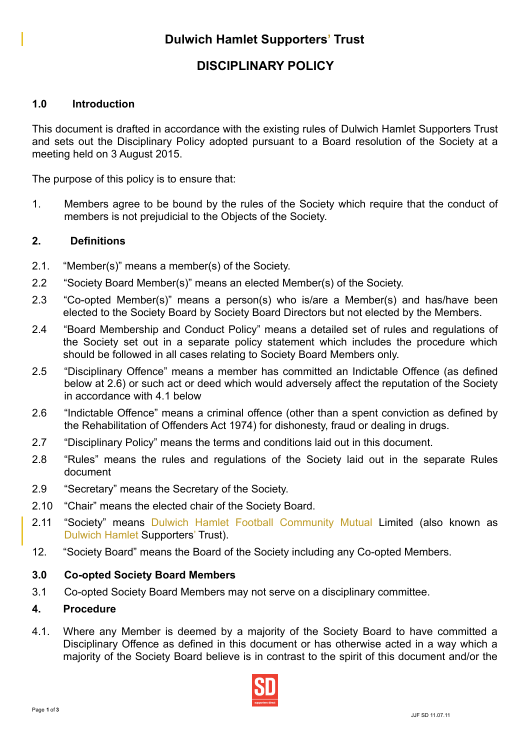# **DISCIPLINARY POLICY**

## **1.0 Introduction**

This document is drafted in accordance with the existing rules of Dulwich Hamlet Supporters Trust and sets out the Disciplinary Policy adopted pursuant to a Board resolution of the Society at a meeting held on 3 August 2015.

The purpose of this policy is to ensure that:

1. Members agree to be bound by the rules of the Society which require that the conduct of members is not prejudicial to the Objects of the Society.

### **2. Definitions**

- 2.1. "Member(s)" means a member(s) of the Society.
- 2.2 "Society Board Member(s)" means an elected Member(s) of the Society.
- 2.3 "Co-opted Member(s)" means a person(s) who is/are a Member(s) and has/have been elected to the Society Board by Society Board Directors but not elected by the Members.
- 2.4 "Board Membership and Conduct Policy" means a detailed set of rules and regulations of the Society set out in a separate policy statement which includes the procedure which should be followed in all cases relating to Society Board Members only.
- 2.5 "Disciplinary Offence" means a member has committed an Indictable Offence (as defined below at 2.6) or such act or deed which would adversely affect the reputation of the Society in accordance with 4.1 below
- 2.6 "Indictable Offence" means a criminal offence (other than a spent conviction as defined by the Rehabilitation of Offenders Act 1974) for dishonesty, fraud or dealing in drugs.
- 2.7 "Disciplinary Policy" means the terms and conditions laid out in this document.
- 2.8 "Rules" means the rules and regulations of the Society laid out in the separate Rules document
- 2.9 "Secretary" means the Secretary of the Society.
- 2.10 "Chair" means the elected chair of the Society Board.
- 2.11 "Society" means Dulwich Hamlet Football Community Mutual Limited (also known as Dulwich Hamlet Supporters' Trust).
- 12. "Society Board" means the Board of the Society including any Co-opted Members.

#### **3.0 Co-opted Society Board Members**

3.1 Co-opted Society Board Members may not serve on a disciplinary committee.

#### **4. Procedure**

4.1. Where any Member is deemed by a majority of the Society Board to have committed a Disciplinary Offence as defined in this document or has otherwise acted in a way which a majority of the Society Board believe is in contrast to the spirit of this document and/or the

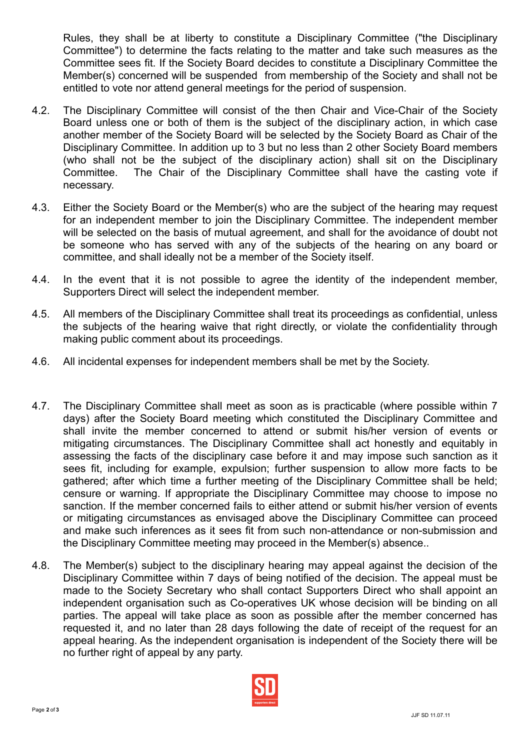Rules, they shall be at liberty to constitute a Disciplinary Committee ("the Disciplinary Committee") to determine the facts relating to the matter and take such measures as the Committee sees fit. If the Society Board decides to constitute a Disciplinary Committee the Member(s) concerned will be suspended from membership of the Society and shall not be entitled to vote nor attend general meetings for the period of suspension.

- 4.2. The Disciplinary Committee will consist of the then Chair and Vice-Chair of the Society Board unless one or both of them is the subject of the disciplinary action, in which case another member of the Society Board will be selected by the Society Board as Chair of the Disciplinary Committee. In addition up to 3 but no less than 2 other Society Board members (who shall not be the subject of the disciplinary action) shall sit on the Disciplinary Committee. The Chair of the Disciplinary Committee shall have the casting vote if necessary.
- 4.3. Either the Society Board or the Member(s) who are the subject of the hearing may request for an independent member to join the Disciplinary Committee. The independent member will be selected on the basis of mutual agreement, and shall for the avoidance of doubt not be someone who has served with any of the subjects of the hearing on any board or committee, and shall ideally not be a member of the Society itself.
- 4.4. In the event that it is not possible to agree the identity of the independent member, Supporters Direct will select the independent member.
- 4.5. All members of the Disciplinary Committee shall treat its proceedings as confidential, unless the subjects of the hearing waive that right directly, or violate the confidentiality through making public comment about its proceedings.
- 4.6. All incidental expenses for independent members shall be met by the Society.
- 4.7. The Disciplinary Committee shall meet as soon as is practicable (where possible within 7 days) after the Society Board meeting which constituted the Disciplinary Committee and shall invite the member concerned to attend or submit his/her version of events or mitigating circumstances. The Disciplinary Committee shall act honestly and equitably in assessing the facts of the disciplinary case before it and may impose such sanction as it sees fit, including for example, expulsion; further suspension to allow more facts to be gathered; after which time a further meeting of the Disciplinary Committee shall be held; censure or warning. If appropriate the Disciplinary Committee may choose to impose no sanction. If the member concerned fails to either attend or submit his/her version of events or mitigating circumstances as envisaged above the Disciplinary Committee can proceed and make such inferences as it sees fit from such non-attendance or non-submission and the Disciplinary Committee meeting may proceed in the Member(s) absence..
- 4.8. The Member(s) subject to the disciplinary hearing may appeal against the decision of the Disciplinary Committee within 7 days of being notified of the decision. The appeal must be made to the Society Secretary who shall contact Supporters Direct who shall appoint an independent organisation such as Co-operatives UK whose decision will be binding on all parties. The appeal will take place as soon as possible after the member concerned has requested it, and no later than 28 days following the date of receipt of the request for an appeal hearing. As the independent organisation is independent of the Society there will be no further right of appeal by any party.